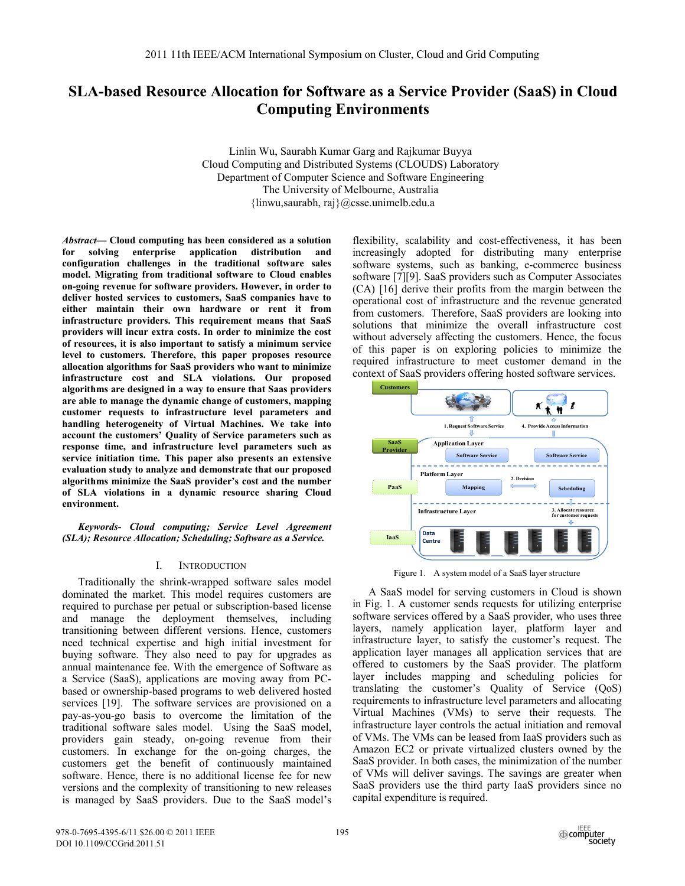# **SLA-based Resource Allocation for Software as a Service Provider (SaaS) in Cloud Computing Environments**

Linlin Wu, Saurabh Kumar Garg and Rajkumar Buyya Cloud Computing and Distributed Systems (CLOUDS) Laboratory Department of Computer Science and Software Engineering The University of Melbourne, Australia {linwu,saurabh, raj}@csse.unimelb.edu.a

*Abstract***— Cloud computing has been considered as a solution for solving enterprise application distribution and configuration challenges in the traditional software sales model. Migrating from traditional software to Cloud enables on-going revenue for software providers. However, in order to deliver hosted services to customers, SaaS companies have to either maintain their own hardware or rent it from infrastructure providers. This requirement means that SaaS providers will incur extra costs. In order to minimize the cost of resources, it is also important to satisfy a minimum service level to customers. Therefore, this paper proposes resource allocation algorithms for SaaS providers who want to minimize infrastructure cost and SLA violations. Our proposed algorithms are designed in a way to ensure that Saas providers are able to manage the dynamic change of customers, mapping customer requests to infrastructure level parameters and handling heterogeneity of Virtual Machines. We take into account the customers' Quality of Service parameters such as response time, and infrastructure level parameters such as service initiation time. This paper also presents an extensive evaluation study to analyze and demonstrate that our proposed algorithms minimize the SaaS provider's cost and the number of SLA violations in a dynamic resource sharing Cloud environment.** 

*Keywords- Cloud computing; Service Level Agreement (SLA); Resource Allocation; Scheduling; Software as a Service.* 

## I. INTRODUCTION

Traditionally the shrink-wrapped software sales model dominated the market. This model requires customers are required to purchase per petual or subscription-based license and manage the deployment themselves, including transitioning between different versions. Hence, customers need technical expertise and high initial investment for buying software. They also need to pay for upgrades as annual maintenance fee. With the emergence of Software as a Service (SaaS), applications are moving away from PCbased or ownership-based programs to web delivered hosted services [19]. The software services are provisioned on a pay-as-you-go basis to overcome the limitation of the traditional software sales model. Using the SaaS model, providers gain steady, on-going revenue from their customers. In exchange for the on-going charges, the customers get the benefit of continuously maintained software. Hence, there is no additional license fee for new versions and the complexity of transitioning to new releases is managed by SaaS providers. Due to the SaaS model's

flexibility, scalability and cost-effectiveness, it has been increasingly adopted for distributing many enterprise software systems, such as banking, e-commerce business software [7][9]. SaaS providers such as Computer Associates (CA) [16] derive their profits from the margin between the operational cost of infrastructure and the revenue generated from customers. Therefore, SaaS providers are looking into solutions that minimize the overall infrastructure cost without adversely affecting the customers. Hence, the focus of this paper is on exploring policies to minimize the required infrastructure to meet customer demand in the context of SaaS providers offering hosted software services.



Figure 1. A system model of a SaaS layer structure

A SaaS model for serving customers in Cloud is shown in Fig. 1. A customer sends requests for utilizing enterprise software services offered by a SaaS provider, who uses three layers, namely application layer, platform layer and infrastructure layer, to satisfy the customer's request. The application layer manages all application services that are offered to customers by the SaaS provider. The platform layer includes mapping and scheduling policies for translating the customer's Quality of Service (QoS) requirements to infrastructure level parameters and allocating Virtual Machines (VMs) to serve their requests. The infrastructure layer controls the actual initiation and removal of VMs. The VMs can be leased from IaaS providers such as Amazon EC2 or private virtualized clusters owned by the SaaS provider. In both cases, the minimization of the number of VMs will deliver savings. The savings are greater when SaaS providers use the third party IaaS providers since no capital expenditure is required.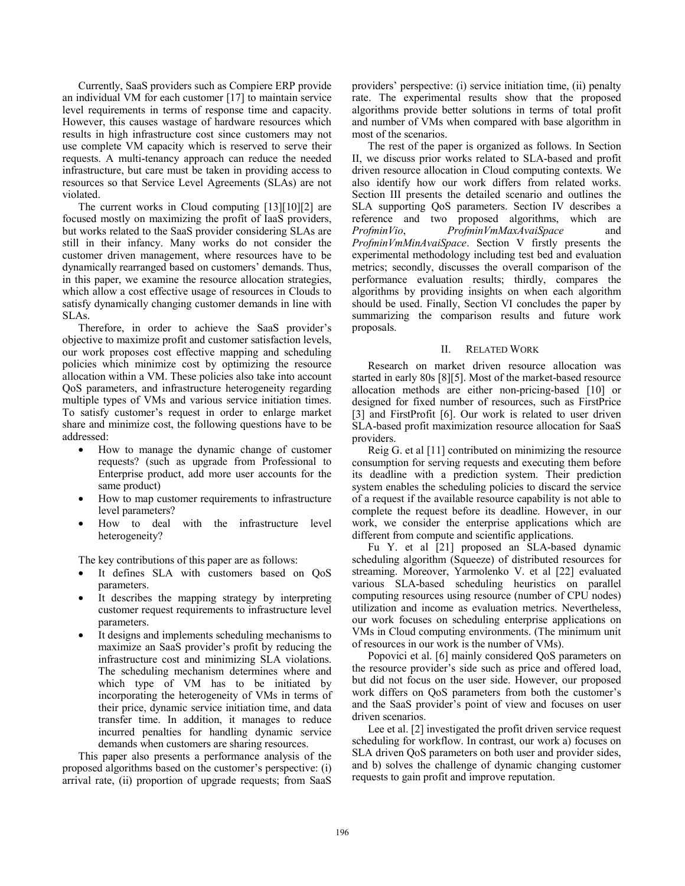Currently, SaaS providers such as Compiere ERP provide an individual VM for each customer [17] to maintain service level requirements in terms of response time and capacity. However, this causes wastage of hardware resources which results in high infrastructure cost since customers may not use complete VM capacity which is reserved to serve their requests. A multi-tenancy approach can reduce the needed infrastructure, but care must be taken in providing access to resources so that Service Level Agreements (SLAs) are not violated.

The current works in Cloud computing [13][10][2] are focused mostly on maximizing the profit of IaaS providers, but works related to the SaaS provider considering SLAs are still in their infancy. Many works do not consider the customer driven management, where resources have to be dynamically rearranged based on customers' demands. Thus, in this paper, we examine the resource allocation strategies, which allow a cost effective usage of resources in Clouds to satisfy dynamically changing customer demands in line with SLAs.

Therefore, in order to achieve the SaaS provider's objective to maximize profit and customer satisfaction levels, our work proposes cost effective mapping and scheduling policies which minimize cost by optimizing the resource allocation within a VM. These policies also take into account QoS parameters, and infrastructure heterogeneity regarding multiple types of VMs and various service initiation times. To satisfy customer's request in order to enlarge market share and minimize cost, the following questions have to be addressed:

- How to manage the dynamic change of customer requests? (such as upgrade from Professional to Enterprise product, add more user accounts for the same product)
- How to map customer requirements to infrastructure level parameters?
- How to deal with the infrastructure level heterogeneity?

The key contributions of this paper are as follows:

- It defines SLA with customers based on QoS parameters.
- It describes the mapping strategy by interpreting customer request requirements to infrastructure level parameters.
- It designs and implements scheduling mechanisms to maximize an SaaS provider's profit by reducing the infrastructure cost and minimizing SLA violations. The scheduling mechanism determines where and which type of VM has to be initiated by incorporating the heterogeneity of VMs in terms of their price, dynamic service initiation time, and data transfer time. In addition, it manages to reduce incurred penalties for handling dynamic service demands when customers are sharing resources.

This paper also presents a performance analysis of the proposed algorithms based on the customer's perspective: (i) arrival rate, (ii) proportion of upgrade requests; from SaaS providers' perspective: (i) service initiation time, (ii) penalty rate. The experimental results show that the proposed algorithms provide better solutions in terms of total profit and number of VMs when compared with base algorithm in most of the scenarios.

The rest of the paper is organized as follows. In Section II, we discuss prior works related to SLA-based and profit driven resource allocation in Cloud computing contexts. We also identify how our work differs from related works. Section III presents the detailed scenario and outlines the SLA supporting QoS parameters. Section IV describes a reference and two proposed algorithms, which are *ProfminVio*, *ProfminVmMaxAvaiSpace* and *ProfminVmMinAvaiSpace*. Section V firstly presents the experimental methodology including test bed and evaluation metrics; secondly, discusses the overall comparison of the performance evaluation results; thirdly, compares the algorithms by providing insights on when each algorithm should be used. Finally, Section VI concludes the paper by summarizing the comparison results and future work proposals.

### II. RELATED WORK

Research on market driven resource allocation was started in early 80s [8][5]. Most of the market-based resource allocation methods are either non-pricing-based [10] or designed for fixed number of resources, such as FirstPrice [3] and FirstProfit [6]. Our work is related to user driven SLA-based profit maximization resource allocation for SaaS providers.

Reig G. et al [11] contributed on minimizing the resource consumption for serving requests and executing them before its deadline with a prediction system. Their prediction system enables the scheduling policies to discard the service of a request if the available resource capability is not able to complete the request before its deadline. However, in our work, we consider the enterprise applications which are different from compute and scientific applications.

Fu Y. et al [21] proposed an SLA-based dynamic scheduling algorithm (Squeeze) of distributed resources for streaming. Moreover, Yarmolenko V. et al [22] evaluated various SLA-based scheduling heuristics on parallel computing resources using resource (number of CPU nodes) utilization and income as evaluation metrics. Nevertheless, our work focuses on scheduling enterprise applications on VMs in Cloud computing environments. (The minimum unit of resources in our work is the number of VMs).

Popovici et al. [6] mainly considered QoS parameters on the resource provider's side such as price and offered load, but did not focus on the user side. However, our proposed work differs on QoS parameters from both the customer's and the SaaS provider's point of view and focuses on user driven scenarios.

Lee et al. [2] investigated the profit driven service request scheduling for workflow. In contrast, our work a) focuses on SLA driven QoS parameters on both user and provider sides, and b) solves the challenge of dynamic changing customer requests to gain profit and improve reputation.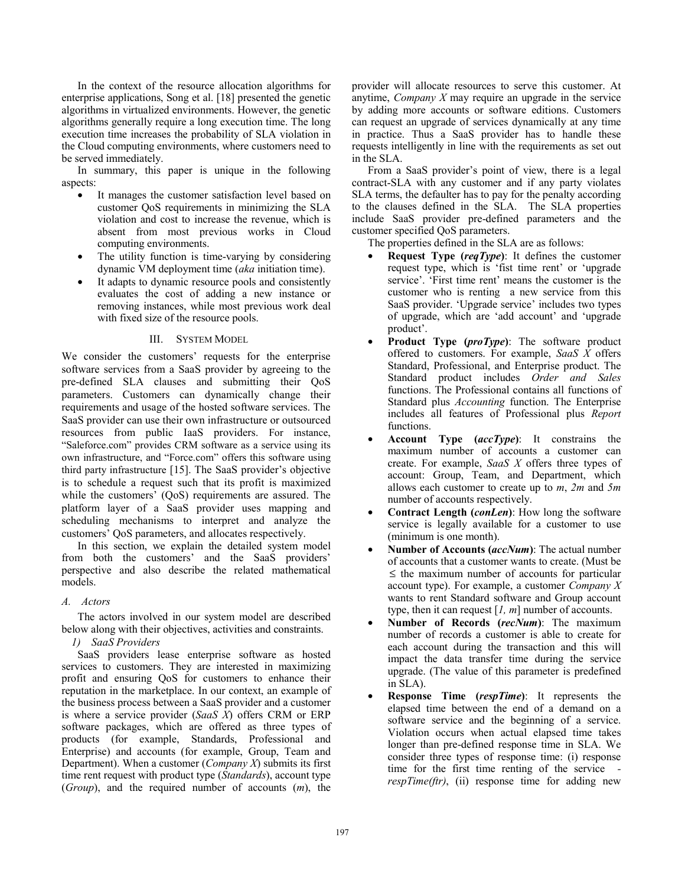In the context of the resource allocation algorithms for enterprise applications, Song et al. [18] presented the genetic algorithms in virtualized environments. However, the genetic algorithms generally require a long execution time. The long execution time increases the probability of SLA violation in the Cloud computing environments, where customers need to be served immediately.

In summary, this paper is unique in the following aspects:

- It manages the customer satisfaction level based on customer QoS requirements in minimizing the SLA violation and cost to increase the revenue, which is absent from most previous works in Cloud computing environments.
- The utility function is time-varying by considering dynamic VM deployment time (*aka* initiation time).
- It adapts to dynamic resource pools and consistently evaluates the cost of adding a new instance or removing instances, while most previous work deal with fixed size of the resource pools.

## III. SYSTEM MODEL

We consider the customers' requests for the enterprise software services from a SaaS provider by agreeing to the pre-defined SLA clauses and submitting their QoS parameters. Customers can dynamically change their requirements and usage of the hosted software services. The SaaS provider can use their own infrastructure or outsourced resources from public IaaS providers. For instance, "Saleforce.com" provides CRM software as a service using its own infrastructure, and "Force.com" offers this software using third party infrastructure [15]. The SaaS provider's objective is to schedule a request such that its profit is maximized while the customers' (QoS) requirements are assured. The platform layer of a SaaS provider uses mapping and scheduling mechanisms to interpret and analyze the customers' QoS parameters, and allocates respectively.

In this section, we explain the detailed system model from both the customers' and the SaaS providers' perspective and also describe the related mathematical models.

## *A. Actors*

The actors involved in our system model are described below along with their objectives, activities and constraints.

## *1) SaaS Providers*

SaaS providers lease enterprise software as hosted services to customers. They are interested in maximizing profit and ensuring QoS for customers to enhance their reputation in the marketplace. In our context, an example of the business process between a SaaS provider and a customer is where a service provider (*SaaS X*) offers CRM or ERP software packages, which are offered as three types of products (for example, Standards, Professional and Enterprise) and accounts (for example, Group, Team and Department). When a customer (*Company X*) submits its first time rent request with product type (*Standards*), account type (*Group*), and the required number of accounts (*m*), the

provider will allocate resources to serve this customer. At anytime, *Company X* may require an upgrade in the service by adding more accounts or software editions. Customers can request an upgrade of services dynamically at any time in practice. Thus a SaaS provider has to handle these requests intelligently in line with the requirements as set out in the SLA.

From a SaaS provider's point of view, there is a legal contract-SLA with any customer and if any party violates SLA terms, the defaulter has to pay for the penalty according to the clauses defined in the SLA. The SLA properties include SaaS provider pre-defined parameters and the customer specified QoS parameters.

The properties defined in the SLA are as follows:

- **Request Type (***reqType***)**: It defines the customer request type, which is 'fist time rent' or 'upgrade service'. 'First time rent' means the customer is the customer who is renting a new service from this SaaS provider. 'Upgrade service' includes two types of upgrade, which are 'add account' and 'upgrade product'.
- **Product Type (***proType***)**: The software product offered to customers. For example, *SaaS X* offers Standard, Professional, and Enterprise product. The Standard product includes *Order and Sales* functions. The Professional contains all functions of Standard plus *Accounting* function. The Enterprise includes all features of Professional plus *Report*  functions.
- **Account Type (***accType***)**: It constrains the maximum number of accounts a customer can create. For example, *SaaS X* offers three types of account: Group, Team, and Department, which allows each customer to create up to *m*, *2m* and *5m* number of accounts respectively.
- **Contract Length (***conLen***)**: How long the software service is legally available for a customer to use (minimum is one month).
- **Number of Accounts (***accNum***)**: The actual number of accounts that a customer wants to create. (Must be  $\leq$  the maximum number of accounts for particular account type). For example, a customer *Company X* wants to rent Standard software and Group account type, then it can request [*1, m*] number of accounts.
- **Number of Records (***recNum***)**: The maximum number of records a customer is able to create for each account during the transaction and this will impact the data transfer time during the service upgrade. (The value of this parameter is predefined in SLA).
- **Response Time (***respTime***)**: It represents the elapsed time between the end of a demand on a software service and the beginning of a service. Violation occurs when actual elapsed time takes longer than pre-defined response time in SLA. We consider three types of response time: (i) response time for the first time renting of the service  *respTime(ftr)*, (ii) response time for adding new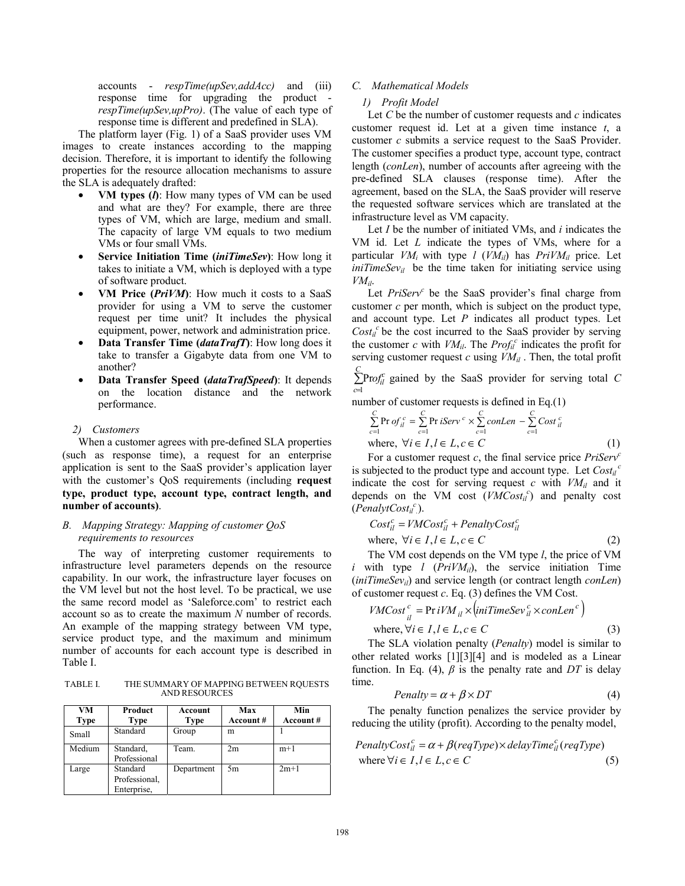accounts - *respTime(upSev,addAcc)* and (iii) response time for upgrading the product *respTime(upSev,upPro)*. (The value of each type of response time is different and predefined in SLA).

The platform layer (Fig. 1) of a SaaS provider uses VM images to create instances according to the mapping decision. Therefore, it is important to identify the following properties for the resource allocation mechanisms to assure the SLA is adequately drafted:

- **VM types (***l***)**: How many types of VM can be used and what are they? For example, there are three types of VM, which are large, medium and small. The capacity of large VM equals to two medium VMs or four small VMs.
- **Service Initiation Time (***iniTimeSev***)**: How long it takes to initiate a VM, which is deployed with a type of software product.
- **VM Price (***PriVM***)**: How much it costs to a SaaS provider for using a VM to serve the customer request per time unit? It includes the physical equipment, power, network and administration price.
- **Data Transfer Time (***dataTrafT***)**: How long does it take to transfer a Gigabyte data from one VM to another?
- **Data Transfer Speed (***dataTrafSpeed***)**: It depends on the location distance and the network performance.

#### *2) Customers*

When a customer agrees with pre-defined SLA properties (such as response time), a request for an enterprise application is sent to the SaaS provider's application layer with the customer's QoS requirements (including **request type, product type, account type, contract length, and number of accounts)**.

## *B. Mapping Strategy: Mapping of customer QoS requirements to resources*

The way of interpreting customer requirements to infrastructure level parameters depends on the resource capability. In our work, the infrastructure layer focuses on the VM level but not the host level. To be practical, we use the same record model as 'Saleforce.com' to restrict each account so as to create the maximum *N* number of records. An example of the mapping strategy between VM type, service product type, and the maximum and minimum number of accounts for each account type is described in Table I.

TABLE I. THE SUMMARY OF MAPPING BETWEEN RQUESTS AND RESOURCES

| VМ<br><b>Type</b> | Product<br>Type                          | Account<br>Type | Max<br>Account# | Min<br>Account# |
|-------------------|------------------------------------------|-----------------|-----------------|-----------------|
| Small             | Standard                                 | Group           | m               |                 |
| Medium            | Standard,<br>Professional                | Team.           | 2m              | $m+1$           |
| Large             | Standard<br>Professional,<br>Enterprise, | Department      | 5m              | $2m+1$          |

## *C. Mathematical Models*

#### *1) Profit Model*

Let *C* be the number of customer requests and *c* indicates customer request id. Let at a given time instance *t*, a customer *c* submits a service request to the SaaS Provider. The customer specifies a product type, account type, contract length (*conLen*), number of accounts after agreeing with the pre-defined SLA clauses (response time). After the agreement, based on the SLA, the SaaS provider will reserve the requested software services which are translated at the infrastructure level as VM capacity.

Let *I* be the number of initiated VMs, and *i* indicates the VM id. Let *L* indicate the types of VMs, where for a particular  $VM_i$  with type  $l$  ( $VM_{il}$ ) has  $PrivM_{il}$  price. Let  $iniTimeSev<sub>il</sub>$  be the time taken for initiating service using *VMil*.

Let *PriServ<sup>c</sup>* be the SaaS provider's final charge from customer *c* per month, which is subject on the product type, and account type. Let *P* indicates all product types. Let  $Cost_i^c$  be the cost incurred to the SaaS provider by serving the customer c with  $VM_{il}$ . The  $Prof_{il}^c$  indicates the profit for serving customer request  $c$  using  $VM_{il}$ . Then, the total profit

 $\sum_{i=1}^{C}$ Pro $f_{il}^c$  gained by the SaaS provider for serving total *C* = *c* 1

number of customer requests is defined in Eq.(1)

$$
\sum_{c=1}^{C} \Pr\ of_{il}^{c} = \sum_{c=1}^{C} \Pr\ i\text{Serv}^{c} \times \sum_{c=1}^{C} \text{conLen} - \sum_{c=1}^{C} \text{Cost}_{il}^{c}
$$
\nwhere,  $\forall i \in I, l \in L, c \in C$  (1)

For a customer request *c*, the final service price *PriServ<sup>c</sup>* is subjected to the product type and account type. Let  $Cost_{il}^c$ indicate the cost for serving request  $c$  with  $VM_{il}$  and it depends on the VM cost  $(VMCost<sub>i</sub><sup>c</sup>)$  and penalty cost  $(\text{PenalytCost}_{il}^c)$ .

$$
Cost_{il}^{c} = VMCost_{il}^{c} + PenaltyCost_{il}^{c}
$$
  
where,  $\forall i \in I, l \in L, c \in C$  (2)

The VM cost depends on the VM type *l*, the price of VM *i* with type *l*  $(PriVM_{il})$ , the service initiation Time (*iniTimeSevil*) and service length (or contract length *conLen*) of customer request *c*. Eq. (3) defines the VM Cost.

$$
VMCost_{il}^{c} = Pr iVM_{il} \times (in iTimeSev_{il}^{c} \times conLen^{c})
$$
  
where,  $\forall i \in I, l \in L, c \in C$  (3)

The SLA violation penalty (*Penalty*) model is similar to other related works [1][3][4] and is modeled as a Linear function. In Eq. (4),  $\beta$  is the penalty rate and *DT* is delay time.

$$
Penalty = \alpha + \beta \times DT \tag{4}
$$

The penalty function penalizes the service provider by reducing the utility (profit). According to the penalty model,

$$
PenaltyCost_{il}^{c} = \alpha + \beta (reqType) \times delayTime_{il}^{c} (reqType)
$$
  
where  $\forall i \in I, l \in L, c \in C$  (5)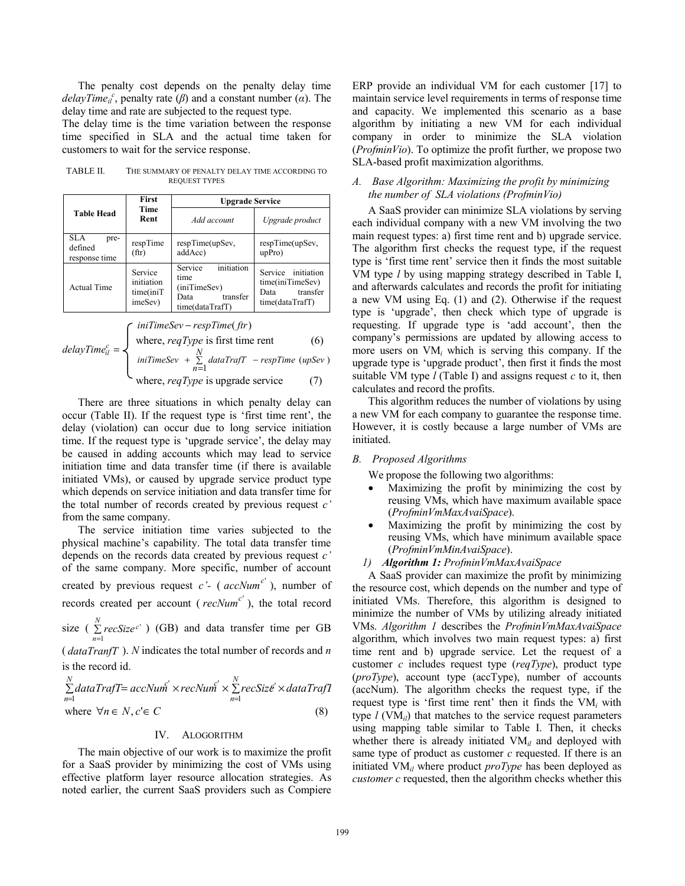The penalty cost depends on the penalty delay time  $delayTime<sub>il</sub><sup>c</sup>$ , penalty rate ( $\beta$ ) and a constant number ( $\alpha$ ). The delay time and rate are subjected to the request type.

The delay time is the time variation between the response time specified in SLA and the actual time taken for customers to wait for the service response.

|                                                | First<br>Time<br>Rent                          | <b>Upgrade Service</b>                                                               |                                                                                  |  |
|------------------------------------------------|------------------------------------------------|--------------------------------------------------------------------------------------|----------------------------------------------------------------------------------|--|
| <b>Table Head</b>                              |                                                | Add account                                                                          | Upgrade product                                                                  |  |
| <b>SLA</b><br>pre-<br>defined<br>response time | respTime<br>(ftr)                              | respTime(upSev,<br>addAcc)                                                           | respTime(upSev,<br>upPro)                                                        |  |
| <b>Actual Time</b>                             | Service<br>initiation<br>time(iniT)<br>imeSev) | initiation<br>Service<br>time<br>(iniTimeSev)<br>transfer<br>Data<br>time(dataTrafT) | initiation<br>Service<br>time(iniTimeSev)<br>transfer<br>Data<br>time(dataTrafT) |  |

TABLE II. THE SUMMARY OF PENALTY DELAY TIME ACCORDING TO REQUEST TYPES

$$
delayTime_{il}^{c} = \begin{cases} \n 2 \text{ minTimeSev} - \text{respTime}(\text{frr}) \\ \n \text{ where, } \text{reqType} \text{ is first time rent} \\ \n 2 \text{ minTimeSev} + \sum_{n=1}^{N} \text{ dataTraff} - \text{respTime} (\text{upSev}) \\ \n \text{where, } \text{reqType} \text{ is upgrade service} \n \end{cases} \tag{7}
$$

There are three situations in which penalty delay can occur (Table II). If the request type is 'first time rent', the delay (violation) can occur due to long service initiation time. If the request type is 'upgrade service', the delay may be caused in adding accounts which may lead to service initiation time and data transfer time (if there is available initiated VMs), or caused by upgrade service product type which depends on service initiation and data transfer time for the total number of records created by previous request *c'* from the same company.

The service initiation time varies subjected to the physical machine's capability. The total data transfer time depends on the records data created by previous request *c'*  of the same company. More specific, number of account created by previous request  $c^2$  (  $accNum^{c^2}$ ), number of records created per account (*recNum<sup>c'</sup>*), the total record

size ( $\sum_{n=1}^{\infty}$ *N*  $\sum_{n=1}$  **recSize**<sup>c</sup> ' ) (GB) and data transfer time per GB

( *dataTranfT* ). *N* indicates the total number of records and *n*  is the record id.

 $dataTrafT {=}\ accNum^c$   $\times \ recNum^c$   $\times \sum^N recSize^c \times dataTrafT$ *n N*<br> $\sum$  *dataTrafT= accNum*  $\stackrel{c^{\prime}}{\times}$  *x recNum*  $\stackrel{c^{\prime}}{\times}$   $\stackrel{N}{\times}$  recSiz&  $\sum_{n=1}$  dataTrafT= accNum  $\times$  recNum  $\times$   $\sum_{n=1}$  recSiz $e' \times$  $\sim$  roo  $N$ uni  $\vee$   $\stackrel{1}{\nabla}$  roo  $\stackrel{1}{\nabla}$ 1 where  $\forall n \in N, c' \in C$  (8)

#### IV. ALOGORITHM

The main objective of our work is to maximize the profit for a SaaS provider by minimizing the cost of VMs using effective platform layer resource allocation strategies. As noted earlier, the current SaaS providers such as Compiere

ERP provide an individual VM for each customer [17] to maintain service level requirements in terms of response time and capacity. We implemented this scenario as a base algorithm by initiating a new VM for each individual company in order to minimize the SLA violation (*ProfminVio*). To optimize the profit further, we propose two SLA-based profit maximization algorithms.

## *A. Base Algorithm: Maximizing the profit by minimizing the number of SLA violations (ProfminVio)*

A SaaS provider can minimize SLA violations by serving each individual company with a new VM involving the two main request types: a) first time rent and b) upgrade service. The algorithm first checks the request type, if the request type is 'first time rent' service then it finds the most suitable VM type *l* by using mapping strategy described in Table I, and afterwards calculates and records the profit for initiating a new VM using Eq. (1) and (2). Otherwise if the request type is 'upgrade', then check which type of upgrade is requesting. If upgrade type is 'add account', then the company's permissions are updated by allowing access to more users on VM*i* which is serving this company. If the upgrade type is 'upgrade product', then first it finds the most suitable VM type *l* (Table I) and assigns request *c* to it, then calculates and record the profits.

This algorithm reduces the number of violations by using a new VM for each company to guarantee the response time. However, it is costly because a large number of VMs are initiated.

#### *B. Proposed Algorithms*

We propose the following two algorithms:

- Maximizing the profit by minimizing the cost by reusing VMs, which have maximum available space (*ProfminVmMaxAvaiSpace*).
- Maximizing the profit by minimizing the cost by reusing VMs, which have minimum available space (*ProfminVmMinAvaiSpace*).

#### *1) Algorithm 1: ProfminVmMaxAvaiSpace*

A SaaS provider can maximize the profit by minimizing the resource cost, which depends on the number and type of initiated VMs. Therefore, this algorithm is designed to minimize the number of VMs by utilizing already initiated VMs. *Algorithm 1* describes the *ProfminVmMaxAvaiSpace* algorithm, which involves two main request types: a) first time rent and b) upgrade service. Let the request of a customer *c* includes request type (*reqType*), product type (*proType*), account type (accType), number of accounts (accNum). The algorithm checks the request type, if the request type is 'first time rent' then it finds the  $VM<sub>i</sub>$  with type *l* (VM*il*) that matches to the service request parameters using mapping table similar to Table I. Then, it checks whether there is already initiated VM*il* and deployed with same type of product as customer *c* requested. If there is an initiated VM*il* where product *proType* has been deployed as *customer c* requested, then the algorithm checks whether this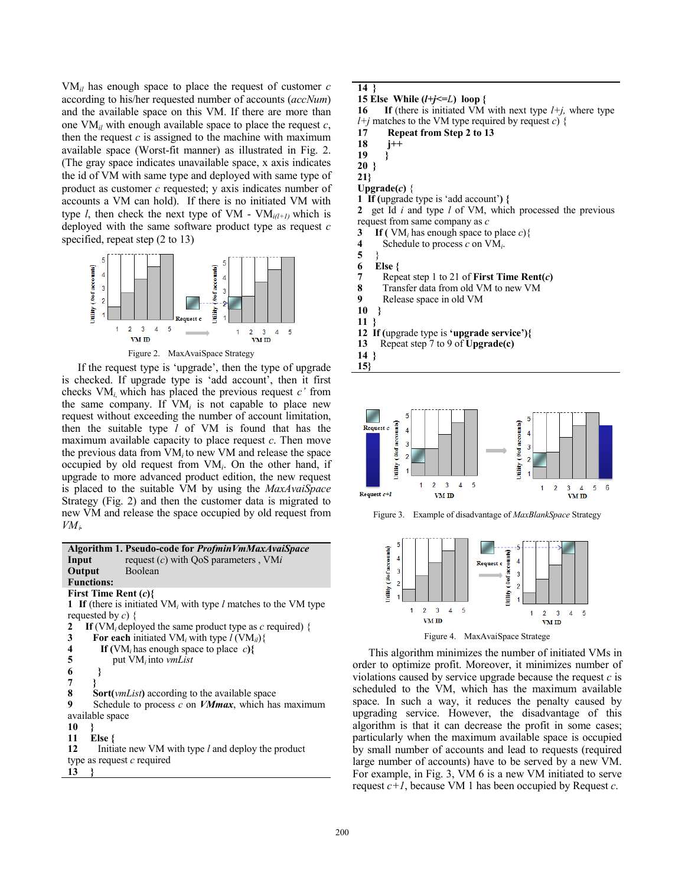VM*il* has enough space to place the request of customer *c* according to his/her requested number of accounts (*accNum*) and the available space on this VM. If there are more than one VM*il* with enough available space to place the request *c*, then the request *c* is assigned to the machine with maximum available space (Worst-fit manner) as illustrated in Fig. 2. (The gray space indicates unavailable space, x axis indicates the id of VM with same type and deployed with same type of product as customer *c* requested; y axis indicates number of accounts a VM can hold). If there is no initiated VM with type *l*, then check the next type of VM -  $VM_{i(l+1)}$  which is deployed with the same software product type as request *c* specified, repeat step  $(2 \text{ to } 13)$ 



Figure 2. MaxAvaiSpace Strategy

If the request type is 'upgrade', then the type of upgrade is checked. If upgrade type is 'add account', then it first checks VM*i*, which has placed the previous request *c'* from the same company. If VM*i* is not capable to place new request without exceeding the number of account limitation, then the suitable type *l* of VM is found that has the maximum available capacity to place request *c*. Then move the previous data from VM*<sup>i</sup>* to new VM and release the space occupied by old request from VM*i*. On the other hand, if upgrade to more advanced product edition, the new request is placed to the suitable VM by using the *MaxAvaiSpace* Strategy (Fig. 2) and then the customer data is migrated to new VM and release the space occupied by old request from *VMi* .

| Algorithm 1. Pseudo-code for <i>ProfminVmMaxAvaiSpace</i>                  |
|----------------------------------------------------------------------------|
| request $(c)$ with QoS parameters, VMi<br>Input                            |
| Boolean<br>Output                                                          |
| <b>Functions:</b>                                                          |
| First Time Rent (c){                                                       |
| <b>1</b> If (there is initiated $VM_i$ with type l matches to the VM type  |
| requested by c) $\{$                                                       |
| If (VM, deployed the same product type as c required) {<br>2               |
| For each initiated VM <sub>i</sub> with type $l$ (VM <sub>il</sub> ){<br>3 |
| If (VM <sub>i</sub> has enough space to place c){<br>4                     |
| put VM <sub>i</sub> into vmList<br>5                                       |
| 6                                                                          |
| }<br>7                                                                     |
|                                                                            |
| 8<br><b>Sort</b> ( <i>vmList</i> ) according to the available space        |
| 9<br>Schedule to process $c$ on <i>VMmax</i> , which has maximum           |
| available space                                                            |
| 10<br>ł                                                                    |
| 11<br>Else $\{$                                                            |
| Initiate new VM with type <i>l</i> and deploy the product<br>12            |
| type as request $c$ required                                               |
| 13                                                                         |
|                                                                            |

| $14$ } |  |                       |
|--------|--|-----------------------|
|        |  | 15 Flag While (1+2=1) |

**15 Else While**  $(l+j \leq L)$  **loop** {<br>**16** If (there is initiated VM

**16 If** (there is initiated VM with next type  $l+j$ , where type *l+j* matches to the VM type required by request *c*) {

- **17 Repeat from Step 2 to 13**
- **18 j++**
- 19  $\{$
- **20 }**
- **21}**
- **Upgrade(***c***)** {
- **1 If (**upgrade type is 'add account'**) {**
- **2** get Id *i* and type *l* of VM, which processed the previous request from same company as *c*
- **3** If (  $VM_i$  has enough space to place *c*){
- **4** Schedule to process *c* on VM*i*.
- **5** }
- 
- **6 Else {**  Repeat step 1 to 21 of **First Time Rent** $(c)$
- **8** Transfer data from old VM to new VM
- **9** Release space in old VM
- **10 }**
- **11 }**
- **12 If (**upgrade type is **'upgrade service'){**
- **13** Repeat step 7 to 9 of **Upgrade(c)**
- **14 }**





Figure 3. Example of disadvantage of *MaxBlankSpace* Strategy



Figure 4. MaxAvaiSpace Stratege

This algorithm minimizes the number of initiated VMs in order to optimize profit. Moreover, it minimizes number of violations caused by service upgrade because the request *c* is scheduled to the VM, which has the maximum available space. In such a way, it reduces the penalty caused by upgrading service. However, the disadvantage of this algorithm is that it can decrease the profit in some cases; particularly when the maximum available space is occupied by small number of accounts and lead to requests (required large number of accounts) have to be served by a new VM. For example, in Fig. 3, VM 6 is a new VM initiated to serve request *c+1*, because VM 1 has been occupied by Request *c*.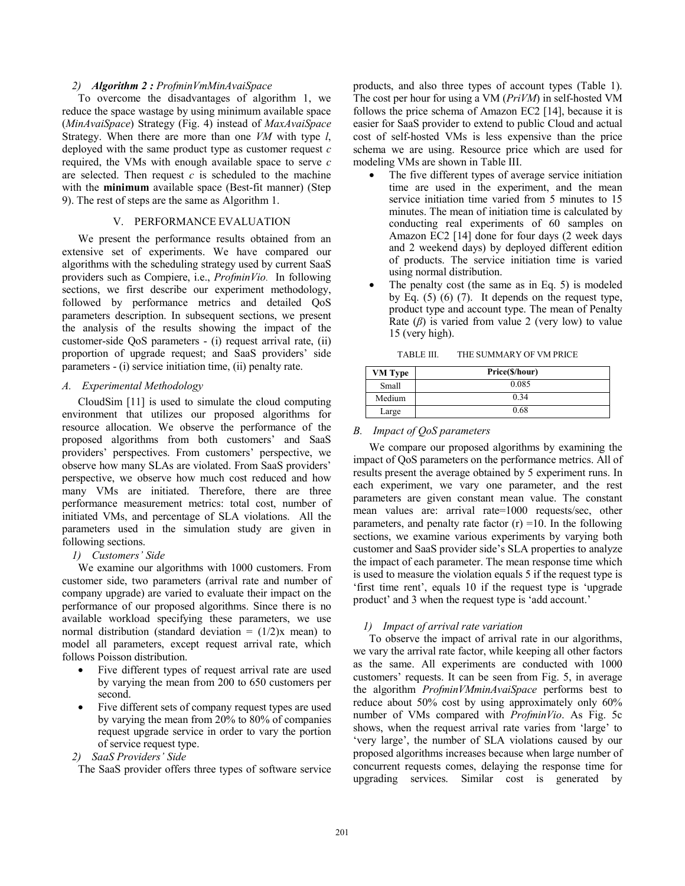### *2) Algorithm 2 : ProfminVmMinAvaiSpace*

To overcome the disadvantages of algorithm 1, we reduce the space wastage by using minimum available space (*MinAvaiSpace*) Strategy (Fig. 4) instead of *MaxAvaiSpace* Strategy. When there are more than one *VM* with type *l*, deployed with the same product type as customer request *c* required, the VMs with enough available space to serve *c*  are selected. Then request *c* is scheduled to the machine with the **minimum** available space (Best-fit manner) (Step 9). The rest of steps are the same as Algorithm 1.

### V. PERFORMANCE EVALUATION

We present the performance results obtained from an extensive set of experiments. We have compared our algorithms with the scheduling strategy used by current SaaS providers such as Compiere, i.e., *ProfminVio*. In following sections, we first describe our experiment methodology, followed by performance metrics and detailed QoS parameters description. In subsequent sections, we present the analysis of the results showing the impact of the customer-side QoS parameters - (i) request arrival rate, (ii) proportion of upgrade request; and SaaS providers' side parameters - (i) service initiation time, (ii) penalty rate.

### *A. Experimental Methodology*

CloudSim [11] is used to simulate the cloud computing environment that utilizes our proposed algorithms for resource allocation. We observe the performance of the proposed algorithms from both customers' and SaaS providers' perspectives. From customers' perspective, we observe how many SLAs are violated. From SaaS providers' perspective, we observe how much cost reduced and how many VMs are initiated. Therefore, there are three performance measurement metrics: total cost, number of initiated VMs, and percentage of SLA violations. All the parameters used in the simulation study are given in following sections.

#### *1) Customers' Side*

We examine our algorithms with 1000 customers. From customer side, two parameters (arrival rate and number of company upgrade) are varied to evaluate their impact on the performance of our proposed algorithms. Since there is no available workload specifying these parameters, we use normal distribution (standard deviation  $= (1/2)x$  mean) to model all parameters, except request arrival rate, which follows Poisson distribution.

- Five different types of request arrival rate are used by varying the mean from 200 to 650 customers per second.
- Five different sets of company request types are used by varying the mean from 20% to 80% of companies request upgrade service in order to vary the portion of service request type.

*2) SaaS Providers' Side* 

The SaaS provider offers three types of software service

products, and also three types of account types (Table 1). The cost per hour for using a VM (*PriVM*) in self-hosted VM follows the price schema of Amazon EC2 [14], because it is easier for SaaS provider to extend to public Cloud and actual cost of self-hosted VMs is less expensive than the price schema we are using. Resource price which are used for modeling VMs are shown in Table III.

- The five different types of average service initiation time are used in the experiment, and the mean service initiation time varied from 5 minutes to 15 minutes. The mean of initiation time is calculated by conducting real experiments of 60 samples on Amazon EC2 [14] done for four days (2 week days and 2 weekend days) by deployed different edition of products. The service initiation time is varied using normal distribution.
- The penalty cost (the same as in Eq. 5) is modeled by Eq. (5) (6) (7). It depends on the request type, product type and account type. The mean of Penalty Rate  $(\beta)$  is varied from value 2 (very low) to value 15 (very high).

TABLE III. THE SUMMARY OF VM PRICE

| VM Type | Price(\$/hour) |
|---------|----------------|
| Small   | 0.085          |
| Medium  | 0.34           |
| Large   | 0.68           |

#### *B. Impact of QoS parameters*

We compare our proposed algorithms by examining the impact of QoS parameters on the performance metrics. All of results present the average obtained by 5 experiment runs. In each experiment, we vary one parameter, and the rest parameters are given constant mean value. The constant mean values are: arrival rate=1000 requests/sec, other parameters, and penalty rate factor  $(r) =10$ . In the following sections, we examine various experiments by varying both customer and SaaS provider side's SLA properties to analyze the impact of each parameter. The mean response time which is used to measure the violation equals 5 if the request type is 'first time rent', equals 10 if the request type is 'upgrade product' and 3 when the request type is 'add account.'

#### *1) Impact of arrival rate variation*

To observe the impact of arrival rate in our algorithms, we vary the arrival rate factor, while keeping all other factors as the same. All experiments are conducted with 1000 customers' requests. It can be seen from Fig. 5, in average the algorithm *ProfminVMminAvaiSpace* performs best to reduce about 50% cost by using approximately only 60% number of VMs compared with *ProfminVio*. As Fig. 5c shows, when the request arrival rate varies from 'large' to 'very large', the number of SLA violations caused by our proposed algorithms increases because when large number of concurrent requests comes, delaying the response time for upgrading services. Similar cost is generated by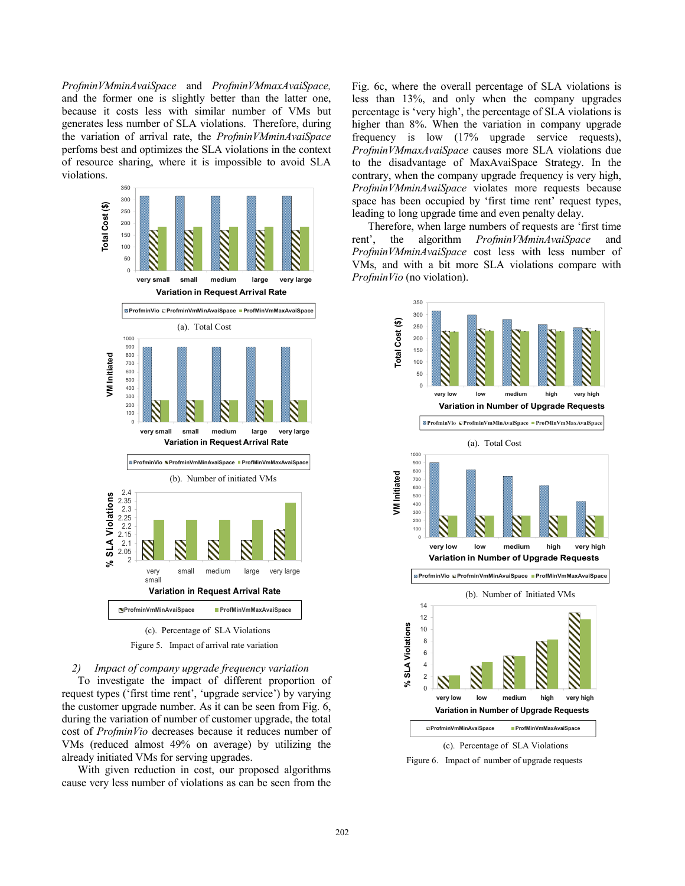*ProfminVMminAvaiSpace* and *ProfminVMmaxAvaiSpace,* and the former one is slightly better than the latter one, because it costs less with similar number of VMs but generates less number of SLA violations. Therefore, during the variation of arrival rate, the *ProfminVMminAvaiSpace*  perfoms best and optimizes the SLA violations in the context of resource sharing, where it is impossible to avoid SLA violations.



Figure 5. Impact of arrival rate variation

*2) Impact of company upgrade frequency variation* 

To investigate the impact of different proportion of request types ('first time rent', 'upgrade service') by varying the customer upgrade number. As it can be seen from Fig. 6, during the variation of number of customer upgrade, the total cost of *ProfminVio* decreases because it reduces number of VMs (reduced almost 49% on average) by utilizing the already initiated VMs for serving upgrades.

With given reduction in cost, our proposed algorithms cause very less number of violations as can be seen from the

Fig. 6c, where the overall percentage of SLA violations is less than 13%, and only when the company upgrades percentage is 'very high', the percentage of SLA violations is higher than 8%. When the variation in company upgrade frequency is low (17% upgrade service requests), *ProfminVMmaxAvaiSpace* causes more SLA violations due to the disadvantage of MaxAvaiSpace Strategy. In the contrary, when the company upgrade frequency is very high, *ProfminVMminAvaiSpace* violates more requests because space has been occupied by 'first time rent' request types, leading to long upgrade time and even penalty delay.

Therefore, when large numbers of requests are 'first time rent', the algorithm *ProfminVMminAvaiSpace* and *ProfminVMminAvaiSpace* cost less with less number of VMs, and with a bit more SLA violations compare with *ProfminVio* (no violation).



Figure 6. Impact of number of upgrade requests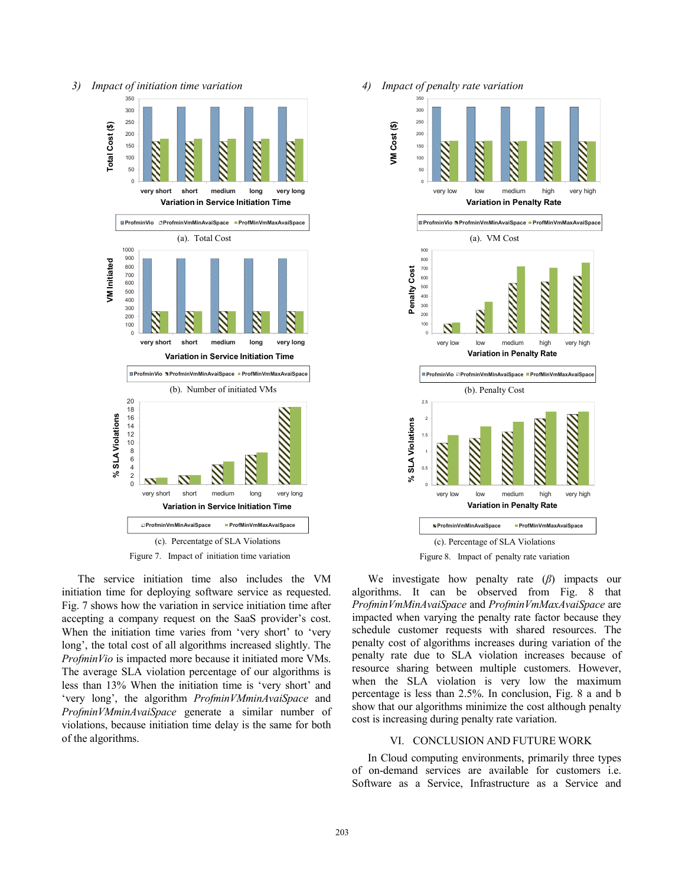

*3) Impact of initiation time variation* 

Figure 7. Impact of initiation time variation

The service initiation time also includes the VM initiation time for deploying software service as requested. Fig. 7 shows how the variation in service initiation time after accepting a company request on the SaaS provider's cost. When the initiation time varies from 'very short' to 'very long', the total cost of all algorithms increased slightly. The *ProfminVio* is impacted more because it initiated more VMs. The average SLA violation percentage of our algorithms is less than 13% When the initiation time is 'very short' and 'very long', the algorithm *ProfminVMminAvaiSpace* and *ProfminVMminAvaiSpace* generate a similar number of violations, because initiation time delay is the same for both of the algorithms.







We investigate how penalty rate (*β*) impacts our algorithms. It can be observed from Fig. 8 that *ProfminVmMinAvaiSpace* and *ProfminVmMaxAvaiSpace* are impacted when varying the penalty rate factor because they schedule customer requests with shared resources. The penalty cost of algorithms increases during variation of the penalty rate due to SLA violation increases because of resource sharing between multiple customers. However, when the SLA violation is very low the maximum percentage is less than 2.5%. In conclusion, Fig. 8 a and b show that our algorithms minimize the cost although penalty cost is increasing during penalty rate variation.

#### VI. CONCLUSION AND FUTURE WORK

In Cloud computing environments, primarily three types of on-demand services are available for customers i.e. Software as a Service, Infrastructure as a Service and